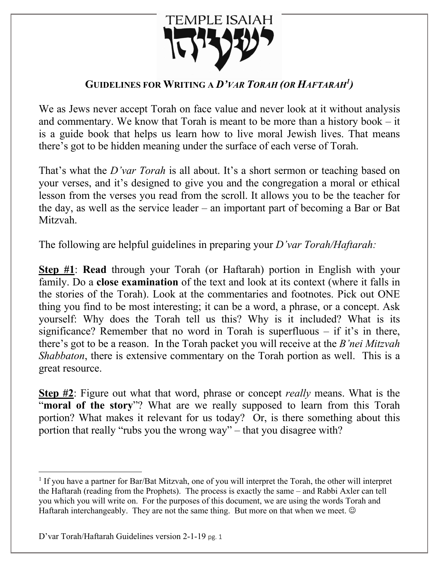

## **GUIDELINES FOR WRITING A** *D'VAR TORAH (OR HAFTARAH1 )*

We as Jews never accept Torah on face value and never look at it without analysis and commentary. We know that Torah is meant to be more than a history book – it is a guide book that helps us learn how to live moral Jewish lives. That means there's got to be hidden meaning under the surface of each verse of Torah.

That's what the *D'var Torah* is all about. It's a short sermon or teaching based on your verses, and it's designed to give you and the congregation a moral or ethical lesson from the verses you read from the scroll. It allows you to be the teacher for the day, as well as the service leader – an important part of becoming a Bar or Bat Mitzvah.

The following are helpful guidelines in preparing your *D'var Torah/Haftarah:*

**Step #1**: **Read** through your Torah (or Haftarah) portion in English with your family. Do a **close examination** of the text and look at its context (where it falls in the stories of the Torah). Look at the commentaries and footnotes. Pick out ONE thing you find to be most interesting; it can be a word, a phrase, or a concept. Ask yourself: Why does the Torah tell us this? Why is it included? What is its significance? Remember that no word in Torah is superfluous  $-$  if it's in there, there's got to be a reason. In the Torah packet you will receive at the *B'nei Mitzvah Shabbaton*, there is extensive commentary on the Torah portion as well. This is a great resource.

**Step #2**: Figure out what that word, phrase or concept *really* means. What is the "**moral of the story**"? What are we really supposed to learn from this Torah portion? What makes it relevant for us today? Or, is there something about this portion that really "rubs you the wrong way" – that you disagree with?

<sup>1</sup> If you have a partner for Bar/Bat Mitzvah, one of you will interpret the Torah, the other will interpret the Haftarah (reading from the Prophets). The process is exactly the same – and Rabbi Axler can tell you which you will write on. For the purposes of this document, we are using the words Torah and Haftarah interchangeably. They are not the same thing. But more on that when we meet.  $\odot$ 

D'var Torah/Haftarah Guidelines version 2-1-19 pg. 1